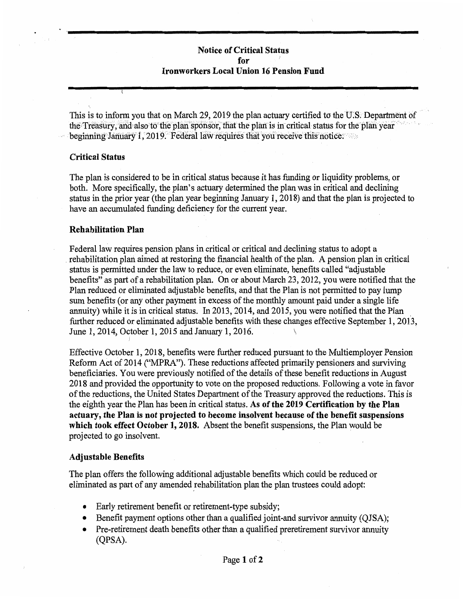# **Notice of Critical Status for Ironworkers Local Union 16 Pension Fund**

This is to inform you that on March 29, 2019 the plan actuary certified to the U.S. Department of the Treasury, and also to the plan sponsor, that the plan is in critical status for the plan year beginning January 1, 2019. Federal law requires that you receive this notice.

## **Critical Status**

The plan is considered to be in critical status because it has funding or liquidity problems, or both. More specifically, the plan's actuary determined the plan was in critical and declining status in the prior year (the plan year beginning January 1, 2018) and that the plan is projected to have an accumulated funding deficiency for the current year.

## **Rehabilitation Plan**

Federal law requires pension plans in critical or critical and declining status to adopt a . rehabilitation plan aimed at restoring the financial health of the plan. A pension plan in critical status is permitted under the law to reduce, or even eliminate, benefits called "adjustable benefits" as part of a rehabilitation plan. On or about March 23, 2012, you were notified that the Plan reduced or eliminated adjustable benefits, and that the Plan is not permitted to pay lump sum benefits (or any other payment in excess of the monthly amount paid under a single life annuity) while it is in critical status. In 2013, 2014, and 2015, you were notified that the Plan further reduced or eliminated adjustable benefits with these changes effective September 1, 2013, June 1, 2014, October 1, 2015 and January 1, 2016. \

Effective October 1, 2018, benefits were further reduced pursuant to the Multiemployer Pension Reform Act of 2014 ("MPRA"). These reductions affected primarily pensioners and surviving beneficiaries. You were previously notified of the details of these benefit reductions in August 2018 and provided the opportunity to vote on the proposed reductions. Following a vote in favor of the reductions, the United States Department of the Treasury approved the reductions. This is the eighth year the Plan has been in critical status. **As of the 2019 Certification by the Plan actuary, the Plan is not projected to become insolvent because of the benefit suspensions which took effect October 1, 2018.** Absent the benefit suspensions, the Plan would be projected to go insolvent.

#### **Adjustable Benefits**

The plan offers the following additional adjustable benefits which could be reduced or eliminated as part of any amended rehabilitation plan the plan trustees could adopt:

- Early retirement benefit or retirement-type subsidy;
- Benefit payment options other than a qualified joint-and survivor annuity (QJSA);
- Pre-retirement death benefits other than a qualified preretirement survivor annuity (QPSA).